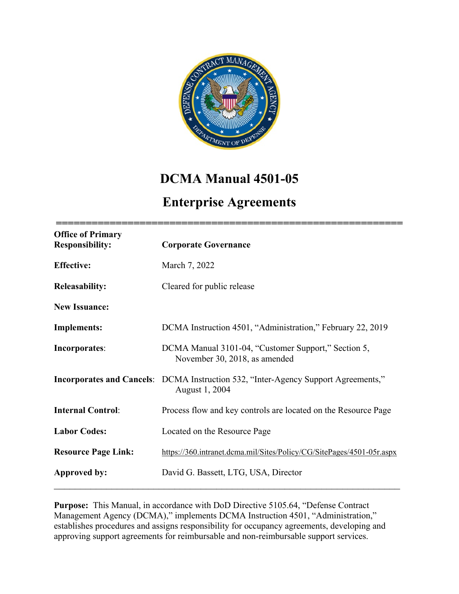

# **DCMA Manual 4501-05**

## **Enterprise Agreements**

| <b>Office of Primary</b><br><b>Responsibility:</b> | <b>Corporate Governance</b>                                                                                 |
|----------------------------------------------------|-------------------------------------------------------------------------------------------------------------|
| <b>Effective:</b>                                  | March 7, 2022                                                                                               |
| <b>Releasability:</b>                              | Cleared for public release                                                                                  |
| <b>New Issuance:</b>                               |                                                                                                             |
| <b>Implements:</b>                                 | DCMA Instruction 4501, "Administration," February 22, 2019                                                  |
| Incorporates:                                      | DCMA Manual 3101-04, "Customer Support," Section 5,<br>November 30, 2018, as amended                        |
|                                                    | <b>Incorporates and Cancels:</b> DCMA Instruction 532, "Inter-Agency Support Agreements,"<br>August 1, 2004 |
| <b>Internal Control:</b>                           | Process flow and key controls are located on the Resource Page                                              |
| <b>Labor Codes:</b>                                | Located on the Resource Page                                                                                |
| <b>Resource Page Link:</b>                         | https://360.intranet.dcma.mil/Sites/Policy/CG/SitePages/4501-05r.aspx                                       |
| Approved by:                                       | David G. Bassett, LTG, USA, Director                                                                        |

**Purpose:** This Manual, in accordance with DoD Directive 5105.64, "Defense Contract Management Agency (DCMA)," implements DCMA Instruction 4501, "Administration," establishes procedures and assigns responsibility for occupancy agreements, developing and approving support agreements for reimbursable and non-reimbursable support services.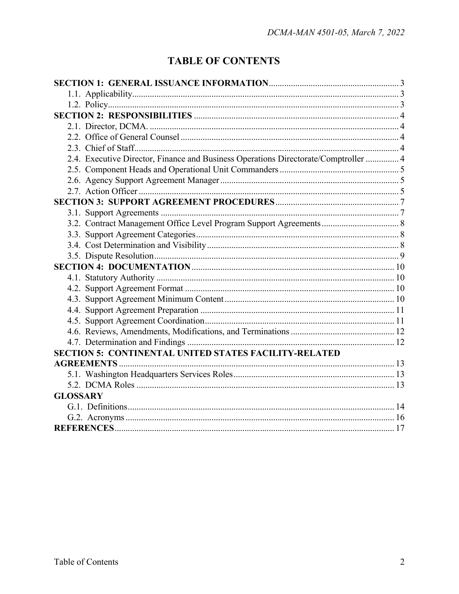## **TABLE OF CONTENTS**

| 2.4. Executive Director, Finance and Business Operations Directorate/Comptroller  4 |  |  |  |
|-------------------------------------------------------------------------------------|--|--|--|
|                                                                                     |  |  |  |
|                                                                                     |  |  |  |
|                                                                                     |  |  |  |
|                                                                                     |  |  |  |
|                                                                                     |  |  |  |
|                                                                                     |  |  |  |
|                                                                                     |  |  |  |
|                                                                                     |  |  |  |
|                                                                                     |  |  |  |
|                                                                                     |  |  |  |
|                                                                                     |  |  |  |
|                                                                                     |  |  |  |
|                                                                                     |  |  |  |
|                                                                                     |  |  |  |
|                                                                                     |  |  |  |
|                                                                                     |  |  |  |
|                                                                                     |  |  |  |
| <b>SECTION 5: CONTINENTAL UNITED STATES FACILITY-RELATED</b>                        |  |  |  |
|                                                                                     |  |  |  |
|                                                                                     |  |  |  |
|                                                                                     |  |  |  |
| <b>GLOSSARY</b>                                                                     |  |  |  |
|                                                                                     |  |  |  |
|                                                                                     |  |  |  |
|                                                                                     |  |  |  |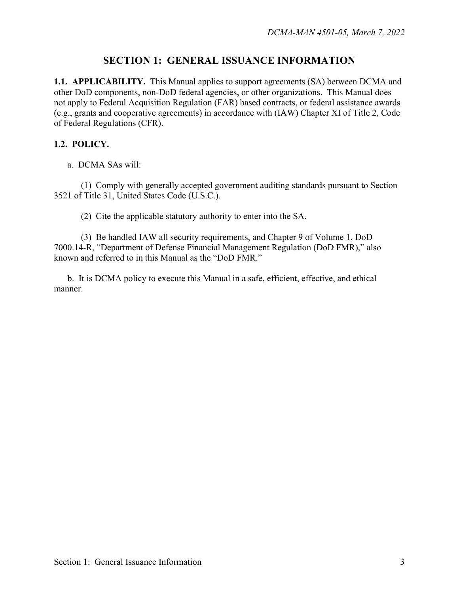## **SECTION 1: GENERAL ISSUANCE INFORMATION**

**1.1. APPLICABILITY.** This Manual applies to support agreements (SA) between DCMA and other DoD components, non-DoD federal agencies, or other organizations. This Manual does not apply to Federal Acquisition Regulation (FAR) based contracts, or federal assistance awards (e.g., grants and cooperative agreements) in accordance with (IAW) Chapter XI of Title 2, Code of Federal Regulations (CFR).

#### **1.2. POLICY.**

a. DCMA SAs will:

(1) Comply with generally accepted government auditing standards pursuant to Section 3521 of Title 31, United States Code (U.S.C.).

(2) Cite the applicable statutory authority to enter into the SA.

(3) Be handled IAW all security requirements, and Chapter 9 of Volume 1, DoD 7000.14-R, "Department of Defense Financial Management Regulation (DoD FMR)," also known and referred to in this Manual as the "DoD FMR."

b. It is DCMA policy to execute this Manual in a safe, efficient, effective, and ethical manner.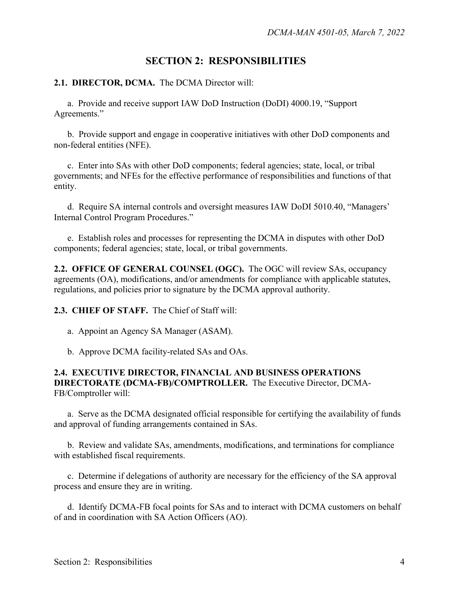## **SECTION 2: RESPONSIBILITIES**

#### **2.1. DIRECTOR, DCMA.** The DCMA Director will:

a. Provide and receive support IAW DoD Instruction (DoDI) 4000.19, "Support Agreements."

b. Provide support and engage in cooperative initiatives with other DoD components and non-federal entities (NFE).

c. Enter into SAs with other DoD components; federal agencies; state, local, or tribal governments; and NFEs for the effective performance of responsibilities and functions of that entity.

d. Require SA internal controls and oversight measures IAW DoDI 5010.40, "Managers' Internal Control Program Procedures."

e. Establish roles and processes for representing the DCMA in disputes with other DoD components; federal agencies; state, local, or tribal governments.

**2.2. OFFICE OF GENERAL COUNSEL (OGC).** The OGC will review SAs, occupancy agreements (OA), modifications, and/or amendments for compliance with applicable statutes, regulations, and policies prior to signature by the DCMA approval authority.

**2.3. CHIEF OF STAFF.** The Chief of Staff will:

- a. Appoint an Agency SA Manager (ASAM).
- b. Approve DCMA facility-related SAs and OAs.

#### **2.4. EXECUTIVE DIRECTOR, FINANCIAL AND BUSINESS OPERATIONS DIRECTORATE (DCMA-FB)/COMPTROLLER.** The Executive Director, DCMA-FB/Comptroller will:

a. Serve as the DCMA designated official responsible for certifying the availability of funds and approval of funding arrangements contained in SAs.

b. Review and validate SAs, amendments, modifications, and terminations for compliance with established fiscal requirements.

c. Determine if delegations of authority are necessary for the efficiency of the SA approval process and ensure they are in writing.

d. Identify DCMA-FB focal points for SAs and to interact with DCMA customers on behalf of and in coordination with SA Action Officers (AO).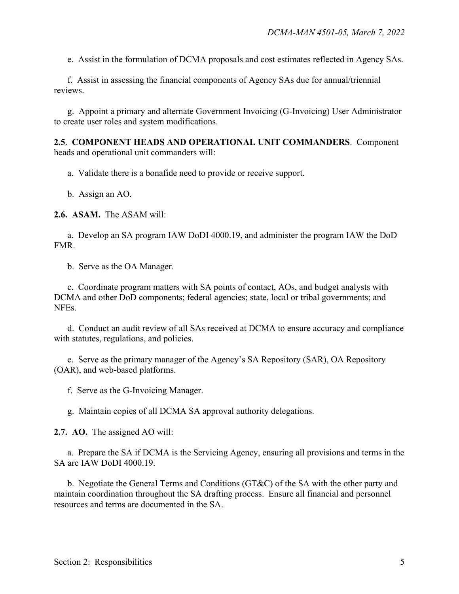e. Assist in the formulation of DCMA proposals and cost estimates reflected in Agency SAs.

f. Assist in assessing the financial components of Agency SAs due for annual/triennial reviews.

g. Appoint a primary and alternate Government Invoicing (G-Invoicing) User Administrator to create user roles and system modifications.

**2.5**. **COMPONENT HEADS AND OPERATIONAL UNIT COMMANDERS**. Component heads and operational unit commanders will:

a. Validate there is a bonafide need to provide or receive support.

b. Assign an AO.

**2.6. ASAM.** The ASAM will:

a. Develop an SA program IAW DoDI 4000.19, and administer the program IAW the DoD FMR.

b. Serve as the OA Manager.

c. Coordinate program matters with SA points of contact, AOs, and budget analysts with DCMA and other DoD components; federal agencies; state, local or tribal governments; and NFEs.

d. Conduct an audit review of all SAs received at DCMA to ensure accuracy and compliance with statutes, regulations, and policies.

e. Serve as the primary manager of the Agency's SA Repository (SAR), OA Repository (OAR), and web-based platforms.

f. Serve as the G-Invoicing Manager.

g. Maintain copies of all DCMA SA approval authority delegations.

**2.7. AO.** The assigned AO will:

a. Prepare the SA if DCMA is the Servicing Agency, ensuring all provisions and terms in the SA are IAW DoDI 4000.19.

b. Negotiate the General Terms and Conditions (GT&C) of the SA with the other party and maintain coordination throughout the SA drafting process. Ensure all financial and personnel resources and terms are documented in the SA.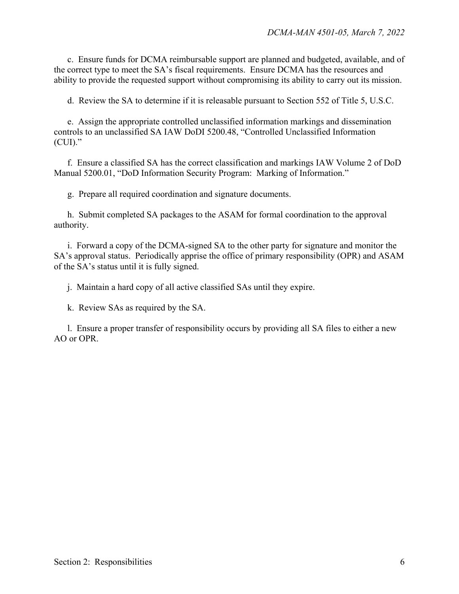c. Ensure funds for DCMA reimbursable support are planned and budgeted, available, and of the correct type to meet the SA's fiscal requirements. Ensure DCMA has the resources and ability to provide the requested support without compromising its ability to carry out its mission.

d. Review the SA to determine if it is releasable pursuant to Section 552 of Title 5, U.S.C.

e. Assign the appropriate controlled unclassified information markings and dissemination controls to an unclassified SA IAW DoDI 5200.48, "Controlled Unclassified Information (CUI)."

f. Ensure a classified SA has the correct classification and markings IAW Volume 2 of DoD Manual 5200.01, "DoD Information Security Program: Marking of Information."

g. Prepare all required coordination and signature documents.

h. Submit completed SA packages to the ASAM for formal coordination to the approval authority.

i. Forward a copy of the DCMA-signed SA to the other party for signature and monitor the SA's approval status. Periodically apprise the office of primary responsibility (OPR) and ASAM of the SA's status until it is fully signed.

j. Maintain a hard copy of all active classified SAs until they expire.

k. Review SAs as required by the SA.

l. Ensure a proper transfer of responsibility occurs by providing all SA files to either a new AO or OPR.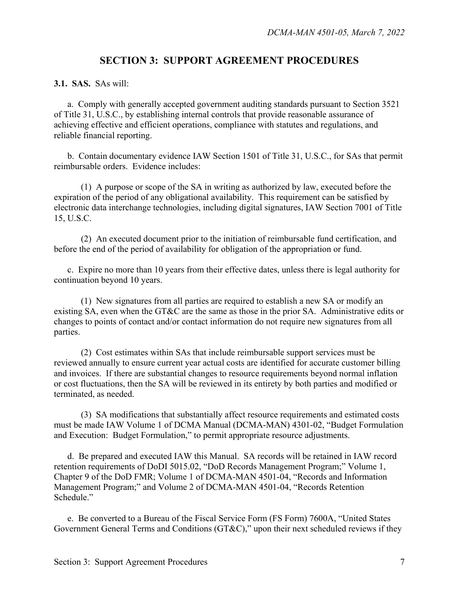### **SECTION 3: SUPPORT AGREEMENT PROCEDURES**

**3.1. SAS.** SAs will:

a. Comply with generally accepted government auditing standards pursuant to Section 3521 of Title 31, U.S.C., by establishing internal controls that provide reasonable assurance of achieving effective and efficient operations, compliance with statutes and regulations, and reliable financial reporting.

b. Contain documentary evidence IAW Section 1501 of Title 31, U.S.C., for SAs that permit reimbursable orders. Evidence includes:

(1) A purpose or scope of the SA in writing as authorized by law, executed before the expiration of the period of any obligational availability. This requirement can be satisfied by electronic data interchange technologies, including digital signatures, IAW Section 7001 of Title 15, U.S.C.

(2) An executed document prior to the initiation of reimbursable fund certification, and before the end of the period of availability for obligation of the appropriation or fund.

c. Expire no more than 10 years from their effective dates, unless there is legal authority for continuation beyond 10 years.

(1) New signatures from all parties are required to establish a new SA or modify an existing SA, even when the GT&C are the same as those in the prior SA. Administrative edits or changes to points of contact and/or contact information do not require new signatures from all parties.

(2) Cost estimates within SAs that include reimbursable support services must be reviewed annually to ensure current year actual costs are identified for accurate customer billing and invoices. If there are substantial changes to resource requirements beyond normal inflation or cost fluctuations, then the SA will be reviewed in its entirety by both parties and modified or terminated, as needed.

(3) SA modifications that substantially affect resource requirements and estimated costs must be made IAW Volume 1 of DCMA Manual (DCMA-MAN) 4301-02, "Budget Formulation and Execution: Budget Formulation," to permit appropriate resource adjustments.

d. Be prepared and executed IAW this Manual. SA records will be retained in IAW record retention requirements of DoDI 5015.02, "DoD Records Management Program;" Volume 1, Chapter 9 of the DoD FMR; Volume 1 of DCMA-MAN 4501-04, "Records and Information Management Program;" and Volume 2 of DCMA-MAN 4501-04, "Records Retention Schedule."

e. Be converted to a Bureau of the Fiscal Service Form (FS Form) 7600A, "United States Government General Terms and Conditions (GT&C)," upon their next scheduled reviews if they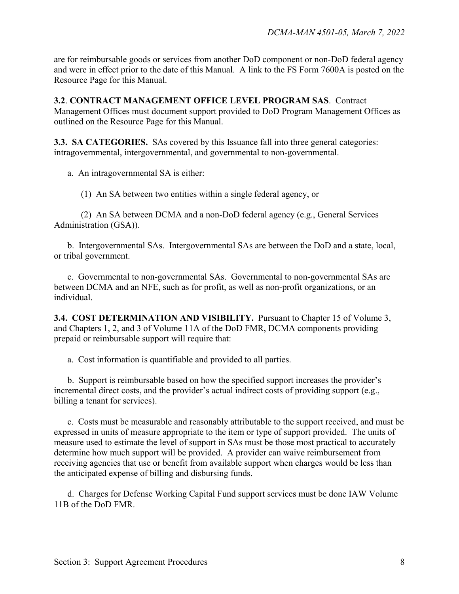are for reimbursable goods or services from another DoD component or non-DoD federal agency and were in effect prior to the date of this Manual. A link to the FS Form 7600A is posted on the Resource Page for this Manual.

**3.2**. **CONTRACT MANAGEMENT OFFICE LEVEL PROGRAM SAS**. Contract Management Offices must document support provided to DoD Program Management Offices as outlined on the Resource Page for this Manual.

**3.3. SA CATEGORIES.** SAs covered by this Issuance fall into three general categories: intragovernmental, intergovernmental, and governmental to non-governmental.

a. An intragovernmental SA is either:

(1) An SA between two entities within a single federal agency, or

(2) An SA between DCMA and a non-DoD federal agency (e.g., General Services Administration (GSA)).

b. Intergovernmental SAs. Intergovernmental SAs are between the DoD and a state, local, or tribal government.

c. Governmental to non-governmental SAs. Governmental to non-governmental SAs are between DCMA and an NFE, such as for profit, as well as non-profit organizations, or an individual.

**3.4. COST DETERMINATION AND VISIBILITY.** Pursuant to Chapter 15 of Volume 3, and Chapters 1, 2, and 3 of Volume 11A of the DoD FMR, DCMA components providing prepaid or reimbursable support will require that:

a. Cost information is quantifiable and provided to all parties.

b. Support is reimbursable based on how the specified support increases the provider's incremental direct costs, and the provider's actual indirect costs of providing support (e.g., billing a tenant for services).

c. Costs must be measurable and reasonably attributable to the support received, and must be expressed in units of measure appropriate to the item or type of support provided. The units of measure used to estimate the level of support in SAs must be those most practical to accurately determine how much support will be provided. A provider can waive reimbursement from receiving agencies that use or benefit from available support when charges would be less than the anticipated expense of billing and disbursing funds.

d. Charges for Defense Working Capital Fund support services must be done IAW Volume 11B of the DoD FMR.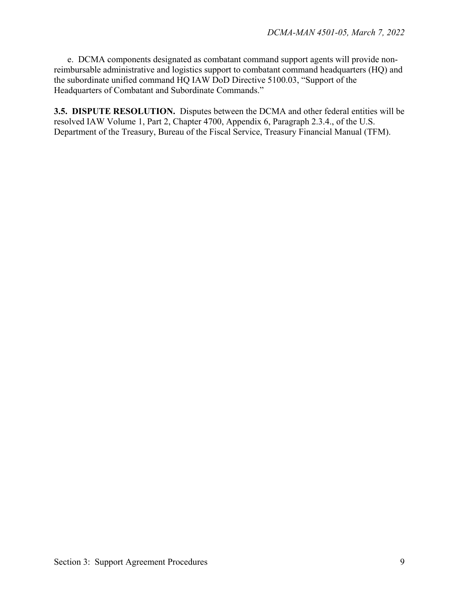e. DCMA components designated as combatant command support agents will provide nonreimbursable administrative and logistics support to combatant command headquarters (HQ) and the subordinate unified command HQ IAW DoD Directive 5100.03, "Support of the Headquarters of Combatant and Subordinate Commands."

**3.5. DISPUTE RESOLUTION.** Disputes between the DCMA and other federal entities will be resolved IAW Volume 1, Part 2, Chapter 4700, Appendix 6, Paragraph 2.3.4., of the U.S. Department of the Treasury, Bureau of the Fiscal Service, Treasury Financial Manual (TFM).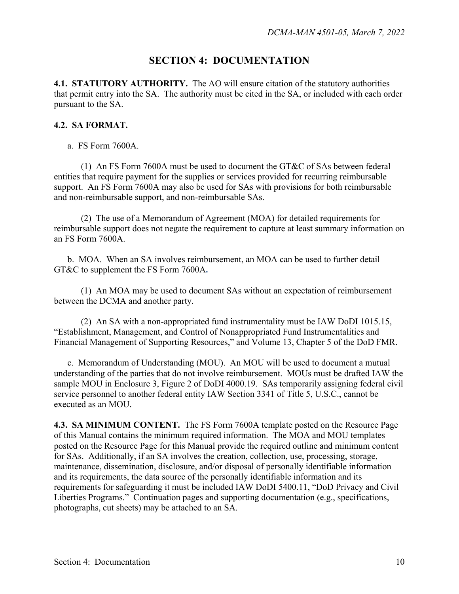### **SECTION 4: DOCUMENTATION**

**4.1. STATUTORY AUTHORITY.** The AO will ensure citation of the statutory authorities that permit entry into the SA. The authority must be cited in the SA, or included with each order pursuant to the SA.

#### **4.2. SA FORMAT.**

a. FS Form 7600A.

(1) An FS Form 7600A must be used to document the GT&C of SAs between federal entities that require payment for the supplies or services provided for recurring reimbursable support. An FS Form 7600A may also be used for SAs with provisions for both reimbursable and non-reimbursable support, and non-reimbursable SAs.

(2) The use of a Memorandum of Agreement (MOA) for detailed requirements for reimbursable support does not negate the requirement to capture at least summary information on an FS Form 7600A.

b. MOA. When an SA involves reimbursement, an MOA can be used to further detail GT&C to supplement the FS Form 7600A**.**

(1) An MOA may be used to document SAs without an expectation of reimbursement between the DCMA and another party.

(2) An SA with a non-appropriated fund instrumentality must be IAW DoDI 1015.15, "Establishment, Management, and Control of Nonappropriated Fund Instrumentalities and Financial Management of Supporting Resources," and Volume 13, Chapter 5 of the DoD FMR.

c. Memorandum of Understanding (MOU).An MOU will be used to document a mutual understanding of the parties that do not involve reimbursement. MOUs must be drafted IAW the sample MOU in Enclosure 3, Figure 2 of DoDI 4000.19. SAs temporarily assigning federal civil service personnel to another federal entity IAW Section 3341 of Title 5, U.S.C., cannot be executed as an MOU.

**4.3. SA MINIMUM CONTENT.** The FS Form 7600A template posted on the Resource Page of this Manual contains the minimum required information. The MOA and MOU templates posted on the Resource Page for this Manual provide the required outline and minimum content for SAs. Additionally, if an SA involves the creation, collection, use, processing, storage, maintenance, dissemination, disclosure, and/or disposal of personally identifiable information and its requirements, the data source of the personally identifiable information and its requirements for safeguarding it must be included IAW DoDI 5400.11, "DoD Privacy and Civil Liberties Programs." Continuation pages and supporting documentation (e.g., specifications, photographs, cut sheets) may be attached to an SA.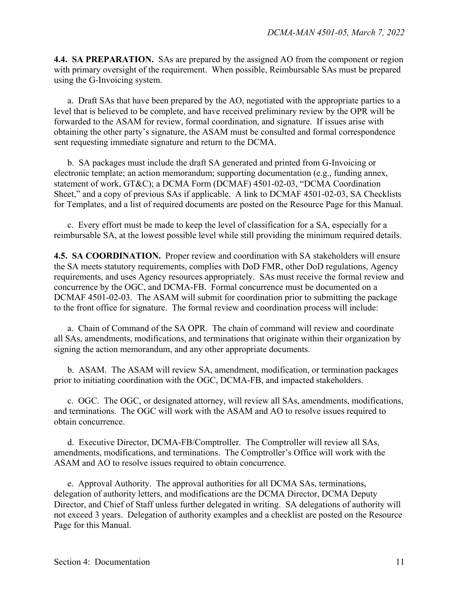**4.4. SA PREPARATION.** SAs are prepared by the assigned AO from the component or region with primary oversight of the requirement. When possible, Reimbursable SAs must be prepared using the G-Invoicing system.

a. Draft SAs that have been prepared by the AO, negotiated with the appropriate parties to a level that is believed to be complete, and have received preliminary review by the OPR will be forwarded to the ASAM for review, formal coordination, and signature. If issues arise with obtaining the other party's signature, the ASAM must be consulted and formal correspondence sent requesting immediate signature and return to the DCMA.

b. SA packages must include the draft SA generated and printed from G-Invoicing or electronic template; an action memorandum; supporting documentation (e.g., funding annex, statement of work, GT&C); a DCMA Form (DCMAF) 4501-02-03, "DCMA Coordination Sheet," and a copy of previous SAs if applicable. A link to DCMAF 4501-02-03, SA Checklists for Templates, and a list of required documents are posted on the Resource Page for this Manual.

c. Every effort must be made to keep the level of classification for a SA, especially for a reimbursable SA, at the lowest possible level while still providing the minimum required details.

**4.5. SA COORDINATION.** Proper review and coordination with SA stakeholders will ensure the SA meets statutory requirements, complies with DoD FMR, other DoD regulations, Agency requirements, and uses Agency resources appropriately. SAs must receive the formal review and concurrence by the OGC, and DCMA-FB. Formal concurrence must be documented on a DCMAF 4501-02-03. The ASAM will submit for coordination prior to submitting the package to the front office for signature. The formal review and coordination process will include:

a. Chain of Command of the SA OPR. The chain of command will review and coordinate all SAs, amendments, modifications, and terminations that originate within their organization by signing the action memorandum, and any other appropriate documents.

b. ASAM. The ASAM will review SA, amendment, modification, or termination packages prior to initiating coordination with the OGC, DCMA-FB, and impacted stakeholders.

c. OGC. The OGC, or designated attorney, will review all SAs, amendments, modifications, and terminations. The OGC will work with the ASAM and AO to resolve issues required to obtain concurrence.

d. Executive Director, DCMA-FB/Comptroller. The Comptroller will review all SAs, amendments, modifications, and terminations. The Comptroller's Office will work with the ASAM and AO to resolve issues required to obtain concurrence.

e. Approval Authority. The approval authorities for all DCMA SAs, terminations, delegation of authority letters, and modifications are the DCMA Director, DCMA Deputy Director, and Chief of Staff unless further delegated in writing. SA delegations of authority will not exceed 3 years. Delegation of authority examples and a checklist are posted on the Resource Page for this Manual.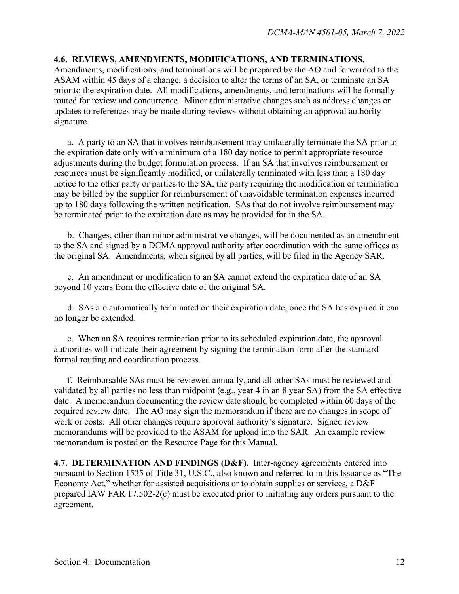#### **4.6. REVIEWS, AMENDMENTS, MODIFICATIONS, AND TERMINATIONS.**

Amendments, modifications, and terminations will be prepared by the AO and forwarded to the ASAM within 45 days of a change, a decision to alter the terms of an SA, or terminate an SA prior to the expiration date. All modifications, amendments, and terminations will be formally routed for review and concurrence. Minor administrative changes such as address changes or updates to references may be made during reviews without obtaining an approval authority signature.

a. A party to an SA that involves reimbursement may unilaterally terminate the SA prior to the expiration date only with a minimum of a 180 day notice to permit appropriate resource adjustments during the budget formulation process. If an SA that involves reimbursement or resources must be significantly modified, or unilaterally terminated with less than a 180 day notice to the other party or parties to the SA, the party requiring the modification or termination may be billed by the supplier for reimbursement of unavoidable termination expenses incurred up to 180 days following the written notification. SAs that do not involve reimbursement may be terminated prior to the expiration date as may be provided for in the SA.

b. Changes, other than minor administrative changes, will be documented as an amendment to the SA and signed by a DCMA approval authority after coordination with the same offices as the original SA. Amendments, when signed by all parties, will be filed in the Agency SAR.

c. An amendment or modification to an SA cannot extend the expiration date of an SA beyond 10 years from the effective date of the original SA.

d. SAs are automatically terminated on their expiration date; once the SA has expired it can no longer be extended.

e. When an SA requires termination prior to its scheduled expiration date, the approval authorities will indicate their agreement by signing the termination form after the standard formal routing and coordination process.

f. Reimbursable SAs must be reviewed annually, and all other SAs must be reviewed and validated by all parties no less than midpoint (e.g., year 4 in an 8 year SA) from the SA effective date. A memorandum documenting the review date should be completed within 60 days of the required review date. The AO may sign the memorandum if there are no changes in scope of work or costs. All other changes require approval authority's signature. Signed review memorandums will be provided to the ASAM for upload into the SAR. An example review memorandum is posted on the Resource Page for this Manual.

**4.7. DETERMINATION AND FINDINGS (D&F).** Inter-agency agreements entered into pursuant to Section 1535 of Title 31, U.S.C., also known and referred to in this Issuance as "The Economy Act," whether for assisted acquisitions or to obtain supplies or services, a D&F prepared IAW FAR 17.502-2(c) must be executed prior to initiating any orders pursuant to the agreement.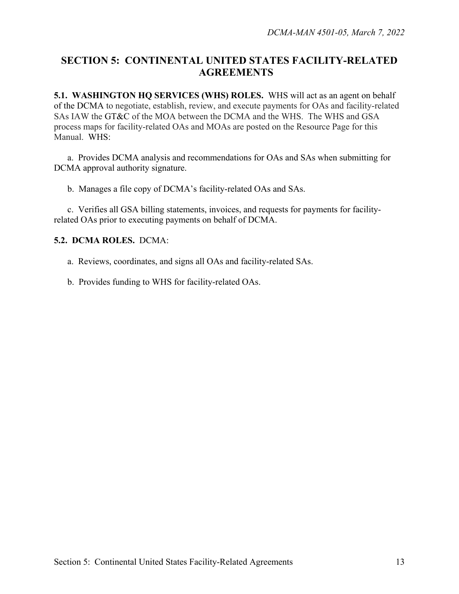## **SECTION 5: CONTINENTAL UNITED STATES FACILITY-RELATED AGREEMENTS**

**5.1. WASHINGTON HQ SERVICES (WHS) ROLES.** WHS will act as an agent on behalf of the DCMA to negotiate, establish, review, and execute payments for OAs and facility-related SAs IAW the GT&C of the MOA between the DCMA and the WHS. The WHS and GSA process maps for facility-related OAs and MOAs are posted on the Resource Page for this Manual.WHS:

a. Provides DCMA analysis and recommendations for OAs and SAs when submitting for DCMA approval authority signature.

b. Manages a file copy of DCMA's facility-related OAs and SAs.

c. Verifies all GSA billing statements, invoices, and requests for payments for facilityrelated OAs prior to executing payments on behalf of DCMA.

#### **5.2. DCMA ROLES.** DCMA:

- a. Reviews, coordinates, and signs all OAs and facility-related SAs.
- b. Provides funding to WHS for facility-related OAs.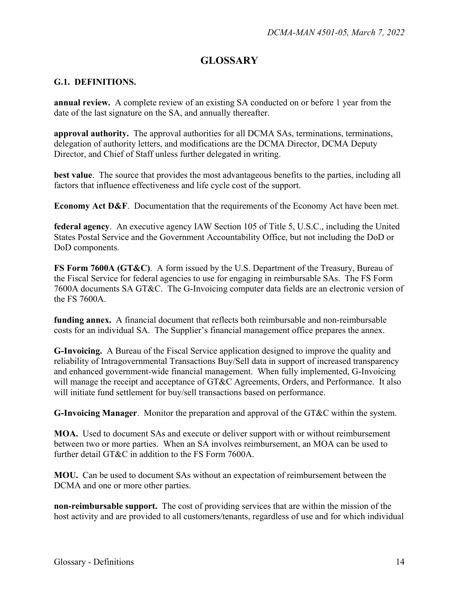## **GLOSSARY**

#### **G.1. DEFINITIONS.**

**annual review.** A complete review of an existing SA conducted on or before 1 year from the date of the last signature on the SA, and annually thereafter.

**approval authority.** The approval authorities for all DCMA SAs, terminations, terminations, delegation of authority letters, and modifications are the DCMA Director, DCMA Deputy Director, and Chief of Staff unless further delegated in writing.

**best value**. The source that provides the most advantageous benefits to the parties, including all factors that influence effectiveness and life cycle cost of the support.

**Economy Act D&F.** Documentation that the requirements of the Economy Act have been met.

**federal agency**. An executive agency IAW Section 105 of Title 5, U.S.C., including the United States Postal Service and the Government Accountability Office, but not including the DoD or DoD components.

**FS Form 7600A (GT&C)**. A form issued by the U.S. Department of the Treasury, Bureau of the Fiscal Service for federal agencies to use for engaging in reimbursable SAs. The FS Form 7600A documents SA GT&C. The G-Invoicing computer data fields are an electronic version of the FS 7600A.

**funding annex.** A financial document that reflects both reimbursable and non-reimbursable costs for an individual SA. The Supplier's financial management office prepares the annex.

**G-Invoicing.** A Bureau of the Fiscal Service application designed to improve the quality and reliability of Intragovernmental Transactions Buy/Sell data in support of increased transparency and enhanced government-wide financial management. When fully implemented, G-Invoicing will manage the receipt and acceptance of GT&C Agreements, Orders, and Performance. It also will initiate fund settlement for buy/sell transactions based on performance.

**G-Invoicing Manager**. Monitor the preparation and approval of the GT&C within the system.

**MOA.** Used to document SAs and execute or deliver support with or without reimbursement between two or more parties. When an SA involves reimbursement, an MOA can be used to further detail GT&C in addition to the FS Form 7600A.

**MOU.** Can be used to document SAs without an expectation of reimbursement between the DCMA and one or more other parties.

**non-reimbursable support.** The cost of providing services that are within the mission of the host activity and are provided to all customers/tenants, regardless of use and for which individual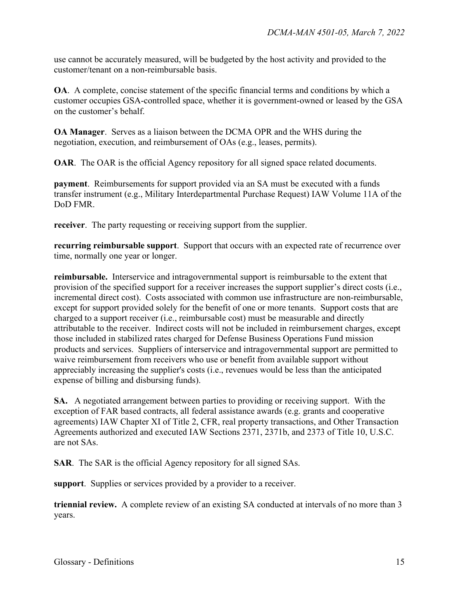use cannot be accurately measured, will be budgeted by the host activity and provided to the customer/tenant on a non-reimbursable basis.

**OA**. A complete, concise statement of the specific financial terms and conditions by which a customer occupies GSA-controlled space, whether it is government-owned or leased by the GSA on the customer's behalf.

**OA Manager**. Serves as a liaison between the DCMA OPR and the WHS during the negotiation, execution, and reimbursement of OAs (e.g., leases, permits).

**OAR.** The OAR is the official Agency repository for all signed space related documents.

**payment**. Reimbursements for support provided via an SA must be executed with a funds transfer instrument (e.g., Military Interdepartmental Purchase Request) IAW Volume 11A of the DoD FMR.

**receiver**. The party requesting or receiving support from the supplier.

**recurring reimbursable support**. Support that occurs with an expected rate of recurrence over time, normally one year or longer.

**reimbursable.** Interservice and intragovernmental support is reimbursable to the extent that provision of the specified support for a receiver increases the support supplier's direct costs (i.e., incremental direct cost). Costs associated with common use infrastructure are non-reimbursable, except for support provided solely for the benefit of one or more tenants. Support costs that are charged to a support receiver (i.e., reimbursable cost) must be measurable and directly attributable to the receiver. Indirect costs will not be included in reimbursement charges, except those included in stabilized rates charged for Defense Business Operations Fund mission products and services. Suppliers of interservice and intragovernmental support are permitted to waive reimbursement from receivers who use or benefit from available support without appreciably increasing the supplier's costs (i.e., revenues would be less than the anticipated expense of billing and disbursing funds).

**SA.** A negotiated arrangement between parties to providing or receiving support. With the exception of FAR based contracts, all federal assistance awards (e.g. grants and cooperative agreements) IAW Chapter XI of Title 2, CFR, real property transactions, and Other Transaction Agreements authorized and executed IAW Sections 2371, 2371b, and 2373 of Title 10, U.S.C. are not SAs.

**SAR**. The SAR is the official Agency repository for all signed SAs.

**support**. Supplies or services provided by a provider to a receiver.

**triennial review.** A complete review of an existing SA conducted at intervals of no more than 3 years.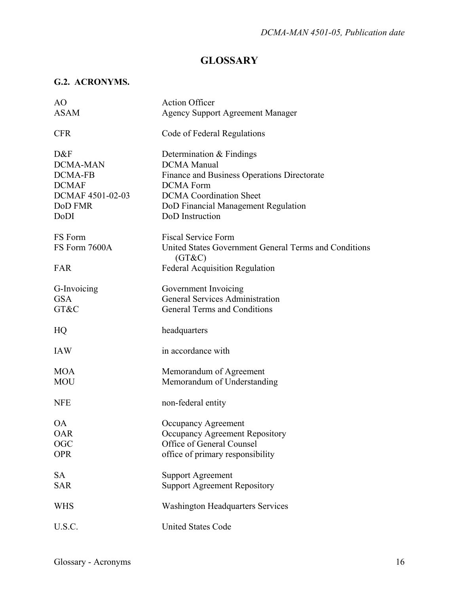## **GLOSSARY**

## **G.2. ACRONYMS.**

| AO                                                                               | <b>Action Officer</b>                                                                                                                                                                      |
|----------------------------------------------------------------------------------|--------------------------------------------------------------------------------------------------------------------------------------------------------------------------------------------|
| <b>ASAM</b>                                                                      | <b>Agency Support Agreement Manager</b>                                                                                                                                                    |
| <b>CFR</b>                                                                       | Code of Federal Regulations                                                                                                                                                                |
| D&F<br><b>DCMA-MAN</b><br>DCMA-FB<br><b>DCMAF</b><br>DCMAF 4501-02-03<br>DoD FMR | Determination & Findings<br><b>DCMA</b> Manual<br>Finance and Business Operations Directorate<br><b>DCMA</b> Form<br><b>DCMA</b> Coordination Sheet<br>DoD Financial Management Regulation |
| DoDI                                                                             | DoD Instruction                                                                                                                                                                            |
| FS Form<br>FS Form 7600A<br>FAR                                                  | <b>Fiscal Service Form</b><br>United States Government General Terms and Conditions<br>(GT&C)                                                                                              |
|                                                                                  | <b>Federal Acquisition Regulation</b>                                                                                                                                                      |
| G-Invoicing<br><b>GSA</b><br>GT&C                                                | Government Invoicing<br><b>General Services Administration</b><br>General Terms and Conditions                                                                                             |
| HQ                                                                               | headquarters                                                                                                                                                                               |
| <b>IAW</b>                                                                       | in accordance with                                                                                                                                                                         |
| <b>MOA</b><br><b>MOU</b>                                                         | Memorandum of Agreement<br>Memorandum of Understanding                                                                                                                                     |
| <b>NFE</b>                                                                       | non-federal entity                                                                                                                                                                         |
| ΟA<br><b>OAR</b><br>OGC<br><b>OPR</b>                                            | Occupancy Agreement<br>Occupancy Agreement Repository<br>Office of General Counsel<br>office of primary responsibility                                                                     |
| SA<br><b>SAR</b>                                                                 | <b>Support Agreement</b><br><b>Support Agreement Repository</b>                                                                                                                            |
| <b>WHS</b>                                                                       | <b>Washington Headquarters Services</b>                                                                                                                                                    |
| U.S.C.                                                                           | <b>United States Code</b>                                                                                                                                                                  |